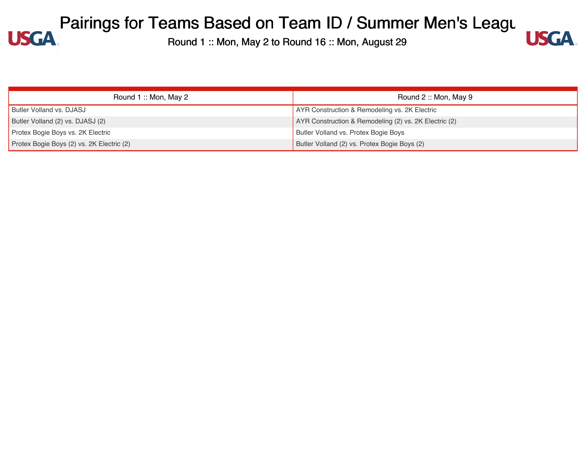

| Round 1: Mon, May 2                       | Round $2::$ Mon, May 9                                |
|-------------------------------------------|-------------------------------------------------------|
| Butler Volland vs. DJASJ                  | AYR Construction & Remodeling vs. 2K Electric         |
| Butler Volland (2) vs. DJASJ (2)          | AYR Construction & Remodeling (2) vs. 2K Electric (2) |
| Protex Bogie Boys vs. 2K Electric         | Butler Volland vs. Protex Bogie Boys                  |
| Protex Bogie Boys (2) vs. 2K Electric (2) | Butler Volland (2) vs. Protex Bogie Boys (2)          |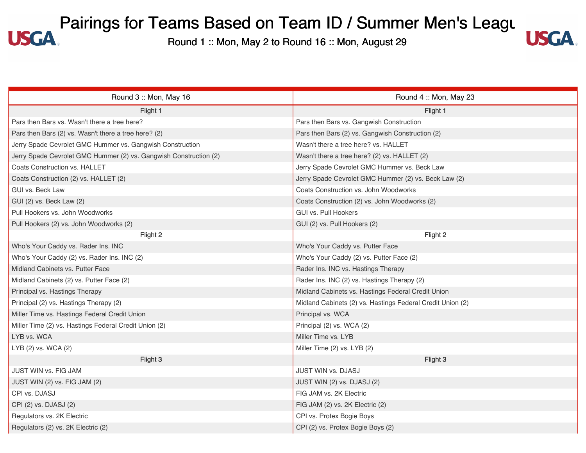#### Pairings for Teams Based on Team ID / Summer Men's Leagung 1: Mon Agazed School Agazed School Agazet 29 **USGA**



| Round 3 :: Mon, May 16                                            | Round 4: Mon, May 23                                       |
|-------------------------------------------------------------------|------------------------------------------------------------|
| Flight 1                                                          | Flight 1                                                   |
| Pars then Bars vs. Wasn't there a tree here?                      | Pars then Bars vs. Gangwish Construction                   |
| Pars then Bars (2) vs. Wasn't there a tree here? (2)              | Pars then Bars (2) vs. Gangwish Construction (2)           |
| Jerry Spade Cevrolet GMC Hummer vs. Gangwish Construction         | Wasn't there a tree here? vs. HALLET                       |
| Jerry Spade Cevrolet GMC Hummer (2) vs. Gangwish Construction (2) | Wasn't there a tree here? (2) vs. HALLET (2)               |
| Coats Construction vs. HALLET                                     | Jerry Spade Cevrolet GMC Hummer vs. Beck Law               |
| Coats Construction (2) vs. HALLET (2)                             | Jerry Spade Cevrolet GMC Hummer (2) vs. Beck Law (2)       |
| GUI vs. Beck Law                                                  | Coats Construction vs. John Woodworks                      |
| GUI (2) vs. Beck Law (2)                                          | Coats Construction (2) vs. John Woodworks (2)              |
| Pull Hookers vs. John Woodworks                                   | <b>GUI vs. Pull Hookers</b>                                |
| Pull Hookers (2) vs. John Woodworks (2)                           | GUI (2) vs. Pull Hookers (2)                               |
| Flight 2                                                          | Flight 2                                                   |
| Who's Your Caddy vs. Rader Ins. INC                               | Who's Your Caddy vs. Putter Face                           |
| Who's Your Caddy (2) vs. Rader Ins. INC (2)                       | Who's Your Caddy (2) vs. Putter Face (2)                   |
| Midland Cabinets vs. Putter Face                                  | Rader Ins. INC vs. Hastings Therapy                        |
| Midland Cabinets (2) vs. Putter Face (2)                          | Rader Ins. INC (2) vs. Hastings Therapy (2)                |
| Principal vs. Hastings Therapy                                    | Midland Cabinets vs. Hastings Federal Credit Union         |
| Principal (2) vs. Hastings Therapy (2)                            | Midland Cabinets (2) vs. Hastings Federal Credit Union (2) |
| Miller Time vs. Hastings Federal Credit Union                     | Principal vs. WCA                                          |
| Miller Time (2) vs. Hastings Federal Credit Union (2)             | Principal (2) vs. WCA (2)                                  |
| LYB vs. WCA                                                       | Miller Time vs. LYB                                        |
| LYB (2) vs. WCA (2)                                               | Miller Time (2) vs. LYB (2)                                |
| Flight 3                                                          | Flight 3                                                   |
| JUST WIN vs. FIG JAM                                              | JUST WIN vs. DJASJ                                         |
| JUST WIN (2) vs. FIG JAM (2)                                      | JUST WIN (2) vs. DJASJ (2)                                 |
| CPI vs. DJASJ                                                     | FIG JAM vs. 2K Electric                                    |
| CPI (2) vs. DJASJ (2)                                             | FIG JAM (2) vs. 2K Electric (2)                            |
| Regulators vs. 2K Electric                                        | CPI vs. Protex Bogie Boys                                  |
| Regulators (2) vs. 2K Electric (2)                                | CPI (2) vs. Protex Bogie Boys (2)                          |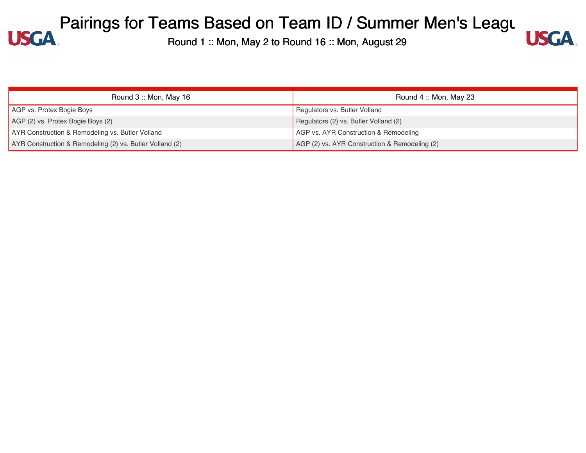

| Round 3: Mon, May 16                                     | Round 4: Mon, May 23                          |
|----------------------------------------------------------|-----------------------------------------------|
| AGP vs. Protex Bogie Boys                                | Regulators vs. Butler Volland                 |
| AGP (2) vs. Protex Bogie Boys (2)                        | Regulators (2) vs. Butler Volland (2)         |
| AYR Construction & Remodeling vs. Butler Volland         | AGP vs. AYR Construction & Remodeling         |
| AYR Construction & Remodeling (2) vs. Butler Volland (2) | AGP (2) vs. AYR Construction & Remodeling (2) |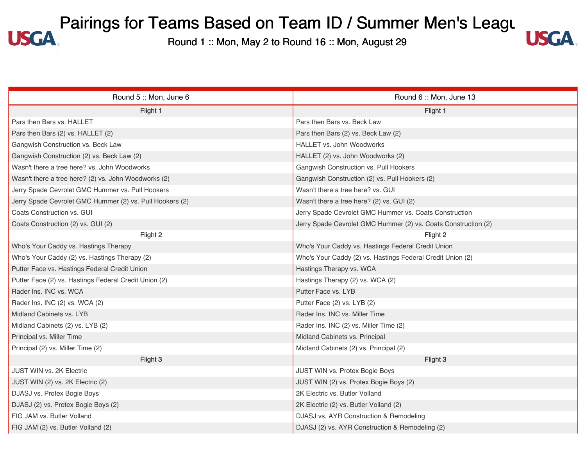

| Round 5: Mon, June 6                                     | Round 6: Mon, June 13                                          |
|----------------------------------------------------------|----------------------------------------------------------------|
| Flight 1                                                 | Flight 1                                                       |
| Pars then Bars vs. HALLET                                | Pars then Bars vs. Beck Law                                    |
| Pars then Bars (2) vs. HALLET (2)                        | Pars then Bars (2) vs. Beck Law (2)                            |
| Gangwish Construction vs. Beck Law                       | HALLET vs. John Woodworks                                      |
| Gangwish Construction (2) vs. Beck Law (2)               | HALLET (2) vs. John Woodworks (2)                              |
| Wasn't there a tree here? vs. John Woodworks             | Gangwish Construction vs. Pull Hookers                         |
| Wasn't there a tree here? (2) vs. John Woodworks (2)     | Gangwish Construction (2) vs. Pull Hookers (2)                 |
| Jerry Spade Cevrolet GMC Hummer vs. Pull Hookers         | Wasn't there a tree here? vs. GUI                              |
| Jerry Spade Cevrolet GMC Hummer (2) vs. Pull Hookers (2) | Wasn't there a tree here? (2) vs. GUI (2)                      |
| Coats Construction vs. GUI                               | Jerry Spade Cevrolet GMC Hummer vs. Coats Construction         |
| Coats Construction (2) vs. GUI (2)                       | Jerry Spade Cevrolet GMC Hummer (2) vs. Coats Construction (2) |
| Flight 2                                                 | Flight 2                                                       |
| Who's Your Caddy vs. Hastings Therapy                    | Who's Your Caddy vs. Hastings Federal Credit Union             |
| Who's Your Caddy (2) vs. Hastings Therapy (2)            | Who's Your Caddy (2) vs. Hastings Federal Credit Union (2)     |
| Putter Face vs. Hastings Federal Credit Union            | Hastings Therapy vs. WCA                                       |
| Putter Face (2) vs. Hastings Federal Credit Union (2)    | Hastings Therapy (2) vs. WCA (2)                               |
| Rader Ins. INC vs. WCA                                   | Putter Face vs. LYB                                            |
| Rader Ins. INC (2) vs. WCA (2)                           | Putter Face (2) vs. LYB (2)                                    |
| Midland Cabinets vs. LYB                                 | Rader Ins. INC vs. Miller Time                                 |
| Midland Cabinets (2) vs. LYB (2)                         | Rader Ins. INC (2) vs. Miller Time (2)                         |
| Principal vs. Miller Time                                | Midland Cabinets vs. Principal                                 |
| Principal (2) vs. Miller Time (2)                        | Midland Cabinets (2) vs. Principal (2)                         |
| Flight 3                                                 | Flight 3                                                       |
| JUST WIN vs. 2K Electric                                 | JUST WIN vs. Protex Bogie Boys                                 |
| JUST WIN (2) vs. 2K Electric (2)                         | JUST WIN (2) vs. Protex Bogie Boys (2)                         |
| DJASJ vs. Protex Bogie Boys                              | 2K Electric vs. Butler Volland                                 |
| DJASJ (2) vs. Protex Bogie Boys (2)                      | 2K Electric (2) vs. Butler Volland (2)                         |
| FIG JAM vs. Butler Volland                               | DJASJ vs. AYR Construction & Remodeling                        |
| FIG JAM (2) vs. Butler Volland (2)                       | DJASJ (2) vs. AYR Construction & Remodeling (2)                |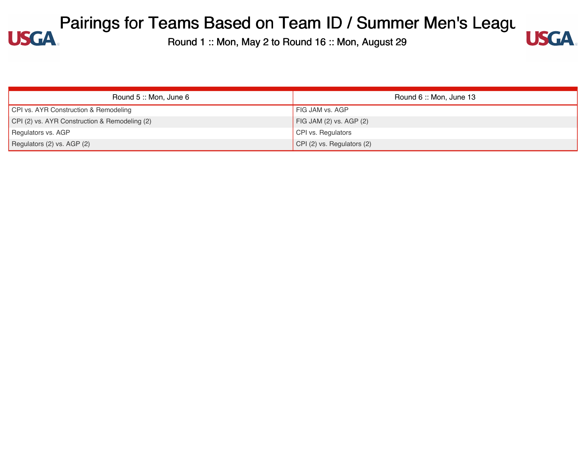

| Round 5 :: Mon, June 6                        | Round 6: Mon, June 13              |
|-----------------------------------------------|------------------------------------|
| CPI vs. AYR Construction & Remodeling         | FIG JAM vs. AGP                    |
| CPI (2) vs. AYR Construction & Remodeling (2) | $\vert$ FIG JAM (2) vs. AGP (2)    |
| Regulators vs. AGP                            | CPI vs. Regulators                 |
| Regulators (2) vs. AGP (2)                    | $\vert$ CPI (2) vs. Regulators (2) |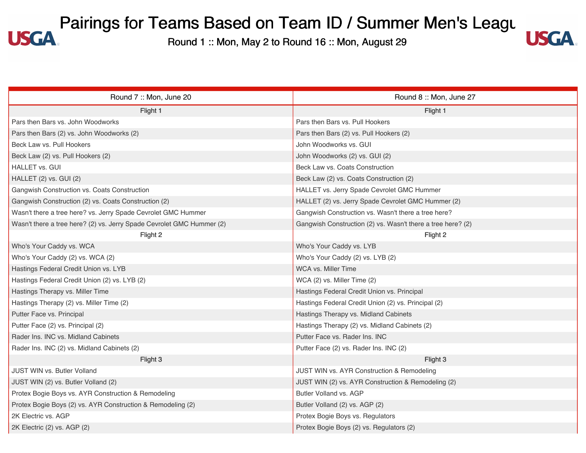#### Pairings for Teams Based on Team ID / Summer Men's Leagung 1: Mon Agazed School Agazed School Agazet 29 **USGA**



| Round 7: Mon, June 20                                                 | Round 8: Mon, June 27                                       |
|-----------------------------------------------------------------------|-------------------------------------------------------------|
| Flight 1                                                              | Flight 1                                                    |
| Pars then Bars vs. John Woodworks                                     | Pars then Bars vs. Pull Hookers                             |
| Pars then Bars (2) vs. John Woodworks (2)                             | Pars then Bars (2) vs. Pull Hookers (2)                     |
| Beck Law vs. Pull Hookers                                             | John Woodworks vs. GUI                                      |
| Beck Law (2) vs. Pull Hookers (2)                                     | John Woodworks (2) vs. GUI (2)                              |
| HALLET vs. GUI                                                        | Beck Law vs. Coats Construction                             |
| HALLET (2) vs. GUI (2)                                                | Beck Law (2) vs. Coats Construction (2)                     |
| Gangwish Construction vs. Coats Construction                          | HALLET vs. Jerry Spade Cevrolet GMC Hummer                  |
| Gangwish Construction (2) vs. Coats Construction (2)                  | HALLET (2) vs. Jerry Spade Cevrolet GMC Hummer (2)          |
| Wasn't there a tree here? vs. Jerry Spade Cevrolet GMC Hummer         | Gangwish Construction vs. Wasn't there a tree here?         |
| Wasn't there a tree here? (2) vs. Jerry Spade Cevrolet GMC Hummer (2) | Gangwish Construction (2) vs. Wasn't there a tree here? (2) |
| Flight 2                                                              | Flight 2                                                    |
| Who's Your Caddy vs. WCA                                              | Who's Your Caddy vs. LYB                                    |
| Who's Your Caddy (2) vs. WCA (2)                                      | Who's Your Caddy (2) vs. LYB (2)                            |
| Hastings Federal Credit Union vs. LYB                                 | WCA vs. Miller Time                                         |
| Hastings Federal Credit Union (2) vs. LYB (2)                         | WCA (2) vs. Miller Time (2)                                 |
| Hastings Therapy vs. Miller Time                                      | Hastings Federal Credit Union vs. Principal                 |
| Hastings Therapy (2) vs. Miller Time (2)                              | Hastings Federal Credit Union (2) vs. Principal (2)         |
| Putter Face vs. Principal                                             | Hastings Therapy vs. Midland Cabinets                       |
| Putter Face (2) vs. Principal (2)                                     | Hastings Therapy (2) vs. Midland Cabinets (2)               |
| Rader Ins. INC vs. Midland Cabinets                                   | Putter Face vs. Rader Ins. INC                              |
| Rader Ins. INC (2) vs. Midland Cabinets (2)                           | Putter Face (2) vs. Rader Ins. INC (2)                      |
| Flight 3                                                              | Flight 3                                                    |
| JUST WIN vs. Butler Volland                                           | JUST WIN vs. AYR Construction & Remodeling                  |
| JUST WIN (2) vs. Butler Volland (2)                                   | JUST WIN (2) vs. AYR Construction & Remodeling (2)          |
| Protex Bogie Boys vs. AYR Construction & Remodeling                   | Butler Volland vs. AGP                                      |
| Protex Bogie Boys (2) vs. AYR Construction & Remodeling (2)           | Butler Volland (2) vs. AGP (2)                              |
| 2K Electric vs. AGP                                                   | Protex Bogie Boys vs. Regulators                            |
| 2K Electric (2) vs. AGP (2)                                           | Protex Bogie Boys (2) vs. Regulators (2)                    |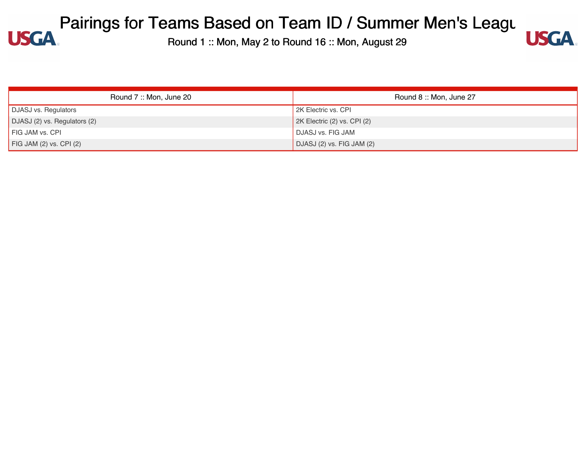

| Round 7: Mon, June 20           | Round 8: Mon, June 27       |
|---------------------------------|-----------------------------|
| <b>DJASJ vs. Regulators</b>     | 2K Electric vs. CPI         |
| DJASJ (2) vs. Regulators (2)    | 2K Electric (2) vs. CPI (2) |
| FIG JAM vs. CPI                 | <b>DJASJ vs. FIG JAM</b>    |
| $\vert$ FIG JAM (2) vs. CPI (2) | DJASJ (2) vs. FIG JAM (2)   |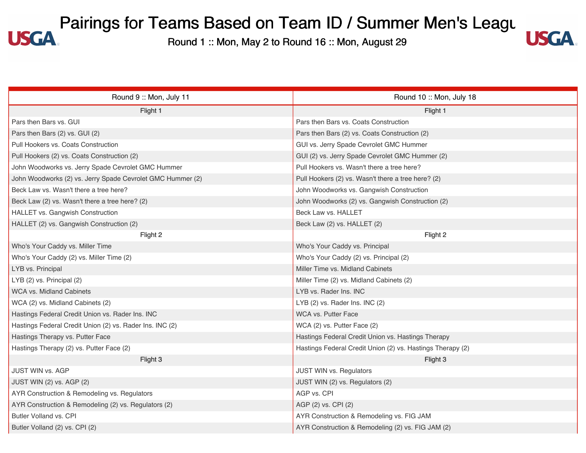#### Pairings for Teams Based on Team ID / Summer Men's Leagung 1: Mon Agazed School Agazed School Agazet 29 **USGA**



| Round 9 :: Mon, July 11                                    | Round 10: Mon, July 18                                     |
|------------------------------------------------------------|------------------------------------------------------------|
| Flight 1                                                   | Flight 1                                                   |
| Pars then Bars vs. GUI                                     | Pars then Bars vs. Coats Construction                      |
| Pars then Bars (2) vs. GUI (2)                             | Pars then Bars (2) vs. Coats Construction (2)              |
| Pull Hookers vs. Coats Construction                        | GUI vs. Jerry Spade Cevrolet GMC Hummer                    |
| Pull Hookers (2) vs. Coats Construction (2)                | GUI (2) vs. Jerry Spade Cevrolet GMC Hummer (2)            |
| John Woodworks vs. Jerry Spade Cevrolet GMC Hummer         | Pull Hookers vs. Wasn't there a tree here?                 |
| John Woodworks (2) vs. Jerry Spade Cevrolet GMC Hummer (2) | Pull Hookers (2) vs. Wasn't there a tree here? (2)         |
| Beck Law vs. Wasn't there a tree here?                     | John Woodworks vs. Gangwish Construction                   |
| Beck Law (2) vs. Wasn't there a tree here? (2)             | John Woodworks (2) vs. Gangwish Construction (2)           |
| HALLET vs. Gangwish Construction                           | Beck Law vs. HALLET                                        |
| HALLET (2) vs. Gangwish Construction (2)                   | Beck Law (2) vs. HALLET (2)                                |
| Flight 2                                                   | Flight 2                                                   |
| Who's Your Caddy vs. Miller Time                           | Who's Your Caddy vs. Principal                             |
| Who's Your Caddy (2) vs. Miller Time (2)                   | Who's Your Caddy (2) vs. Principal (2)                     |
| LYB vs. Principal                                          | Miller Time vs. Midland Cabinets                           |
| LYB (2) vs. Principal (2)                                  | Miller Time (2) vs. Midland Cabinets (2)                   |
| WCA vs. Midland Cabinets                                   | LYB vs. Rader Ins. INC                                     |
| WCA (2) vs. Midland Cabinets (2)                           | LYB (2) vs. Rader Ins. INC (2)                             |
| Hastings Federal Credit Union vs. Rader Ins. INC           | <b>WCA vs. Putter Face</b>                                 |
| Hastings Federal Credit Union (2) vs. Rader Ins. INC (2)   | WCA (2) vs. Putter Face (2)                                |
| Hastings Therapy vs. Putter Face                           | Hastings Federal Credit Union vs. Hastings Therapy         |
| Hastings Therapy (2) vs. Putter Face (2)                   | Hastings Federal Credit Union (2) vs. Hastings Therapy (2) |
| Flight 3                                                   | Flight 3                                                   |
| <b>JUST WIN vs. AGP</b>                                    | JUST WIN vs. Regulators                                    |
| JUST WIN (2) vs. AGP (2)                                   | JUST WIN (2) vs. Regulators (2)                            |
| AYR Construction & Remodeling vs. Regulators               | AGP vs. CPI                                                |
| AYR Construction & Remodeling (2) vs. Regulators (2)       | AGP (2) vs. CPI (2)                                        |
| Butler Volland vs. CPI                                     | AYR Construction & Remodeling vs. FIG JAM                  |
| Butler Volland (2) vs. CPI (2)                             | AYR Construction & Remodeling (2) vs. FIG JAM (2)          |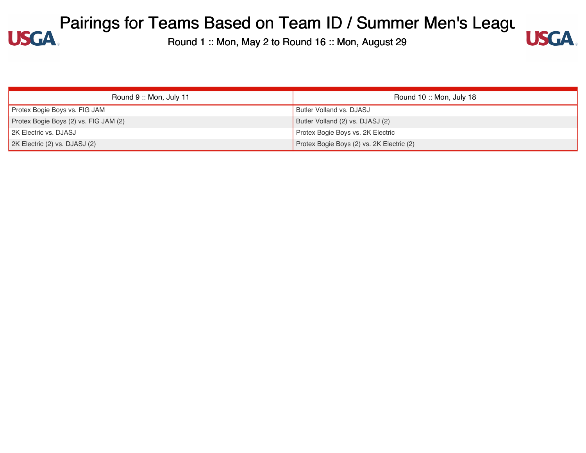

| Round 9:: Mon, July 11                | Round 10: Mon, July 18                    |
|---------------------------------------|-------------------------------------------|
| Protex Bogie Boys vs. FIG JAM         | Butler Volland vs. DJASJ                  |
| Protex Bogie Boys (2) vs. FIG JAM (2) | Butler Volland (2) vs. DJASJ (2)          |
| 2K Electric vs. DJASJ                 | Protex Bogie Boys vs. 2K Electric         |
| 2K Electric (2) vs. DJASJ (2)         | Protex Bogie Boys (2) vs. 2K Electric (2) |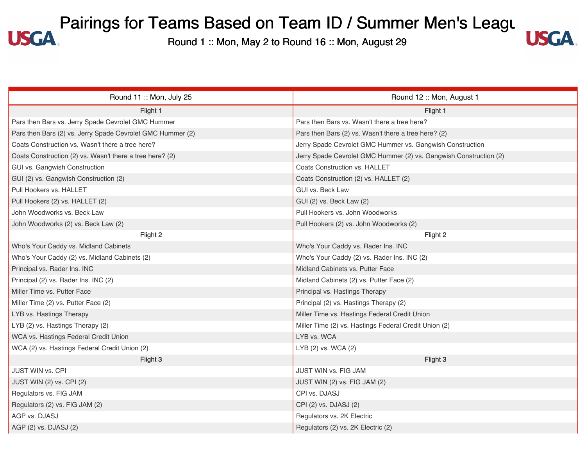#### Pairings for Teams Based on Team ID / Summer Men's Leagung 1: Mon Agy 2 to Bound 16 : Mon August 29 **USGA**



| Round 11: Mon, July 25                                     | Round 12: Mon, August 1                                           |
|------------------------------------------------------------|-------------------------------------------------------------------|
| Flight 1                                                   | Flight 1                                                          |
| Pars then Bars vs. Jerry Spade Cevrolet GMC Hummer         | Pars then Bars vs. Wasn't there a tree here?                      |
| Pars then Bars (2) vs. Jerry Spade Cevrolet GMC Hummer (2) | Pars then Bars (2) vs. Wasn't there a tree here? (2)              |
| Coats Construction vs. Wasn't there a tree here?           | Jerry Spade Cevrolet GMC Hummer vs. Gangwish Construction         |
| Coats Construction (2) vs. Wasn't there a tree here? (2)   | Jerry Spade Cevrolet GMC Hummer (2) vs. Gangwish Construction (2) |
| GUI vs. Gangwish Construction                              | Coats Construction vs. HALLET                                     |
| GUI (2) vs. Gangwish Construction (2)                      | Coats Construction (2) vs. HALLET (2)                             |
| Pull Hookers vs. HALLET                                    | GUI vs. Beck Law                                                  |
| Pull Hookers (2) vs. HALLET (2)                            | GUI (2) vs. Beck Law (2)                                          |
| John Woodworks vs. Beck Law                                | Pull Hookers vs. John Woodworks                                   |
| John Woodworks (2) vs. Beck Law (2)                        | Pull Hookers (2) vs. John Woodworks (2)                           |
| Flight 2                                                   | Flight 2                                                          |
| Who's Your Caddy vs. Midland Cabinets                      | Who's Your Caddy vs. Rader Ins. INC                               |
| Who's Your Caddy (2) vs. Midland Cabinets (2)              | Who's Your Caddy (2) vs. Rader Ins. INC (2)                       |
| Principal vs. Rader Ins. INC                               | Midland Cabinets vs. Putter Face                                  |
| Principal (2) vs. Rader Ins. INC (2)                       | Midland Cabinets (2) vs. Putter Face (2)                          |
| Miller Time vs. Putter Face                                | Principal vs. Hastings Therapy                                    |
| Miller Time (2) vs. Putter Face (2)                        | Principal (2) vs. Hastings Therapy (2)                            |
| LYB vs. Hastings Therapy                                   | Miller Time vs. Hastings Federal Credit Union                     |
| LYB (2) vs. Hastings Therapy (2)                           | Miller Time (2) vs. Hastings Federal Credit Union (2)             |
| WCA vs. Hastings Federal Credit Union                      | LYB vs. WCA                                                       |
| WCA (2) vs. Hastings Federal Credit Union (2)              | LYB (2) vs. WCA (2)                                               |
| Flight 3                                                   | Flight 3                                                          |
| <b>JUST WIN vs. CPI</b>                                    | <b>JUST WIN vs. FIG JAM</b>                                       |
| JUST WIN (2) vs. CPI (2)                                   | JUST WIN (2) vs. FIG JAM (2)                                      |
| Regulators vs. FIG JAM                                     | CPI vs. DJASJ                                                     |
| Regulators (2) vs. FIG JAM (2)                             | CPI (2) vs. DJASJ (2)                                             |
| AGP vs. DJASJ                                              | Regulators vs. 2K Electric                                        |
| AGP (2) vs. DJASJ (2)                                      | Regulators (2) vs. 2K Electric (2)                                |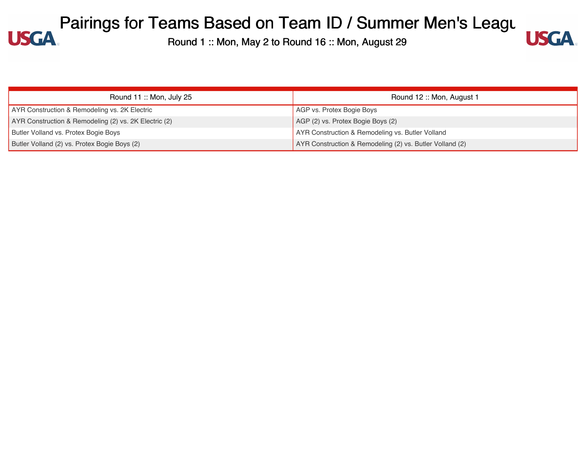

| Round 11: Mon, July 25                                | Round 12: Mon, August 1                                  |
|-------------------------------------------------------|----------------------------------------------------------|
| AYR Construction & Remodeling vs. 2K Electric         | AGP vs. Protex Bogie Boys                                |
| AYR Construction & Remodeling (2) vs. 2K Electric (2) | AGP (2) vs. Protex Bogie Boys (2)                        |
| Butler Volland vs. Protex Bogie Boys                  | AYR Construction & Remodeling vs. Butler Volland         |
| Butler Volland (2) vs. Protex Bogie Boys (2)          | AYR Construction & Remodeling (2) vs. Butler Volland (2) |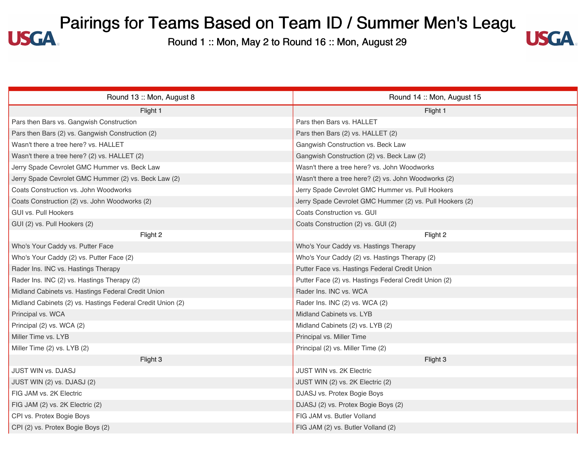

| Round 13: Mon, August 8                                    | Round 14 :: Mon, August 15                               |
|------------------------------------------------------------|----------------------------------------------------------|
| Flight 1                                                   | Flight 1                                                 |
| Pars then Bars vs. Gangwish Construction                   | Pars then Bars vs. HALLET                                |
| Pars then Bars (2) vs. Gangwish Construction (2)           | Pars then Bars (2) vs. HALLET (2)                        |
| Wasn't there a tree here? vs. HALLET                       | Gangwish Construction vs. Beck Law                       |
| Wasn't there a tree here? (2) vs. HALLET (2)               | Gangwish Construction (2) vs. Beck Law (2)               |
| Jerry Spade Cevrolet GMC Hummer vs. Beck Law               | Wasn't there a tree here? vs. John Woodworks             |
| Jerry Spade Cevrolet GMC Hummer (2) vs. Beck Law (2)       | Wasn't there a tree here? (2) vs. John Woodworks (2)     |
| Coats Construction vs. John Woodworks                      | Jerry Spade Cevrolet GMC Hummer vs. Pull Hookers         |
| Coats Construction (2) vs. John Woodworks (2)              | Jerry Spade Cevrolet GMC Hummer (2) vs. Pull Hookers (2) |
| GUI vs. Pull Hookers                                       | Coats Construction vs. GUI                               |
| GUI (2) vs. Pull Hookers (2)                               | Coats Construction (2) vs. GUI (2)                       |
| Flight 2                                                   | Flight 2                                                 |
| Who's Your Caddy vs. Putter Face                           | Who's Your Caddy vs. Hastings Therapy                    |
| Who's Your Caddy (2) vs. Putter Face (2)                   | Who's Your Caddy (2) vs. Hastings Therapy (2)            |
| Rader Ins. INC vs. Hastings Therapy                        | Putter Face vs. Hastings Federal Credit Union            |
| Rader Ins. INC (2) vs. Hastings Therapy (2)                | Putter Face (2) vs. Hastings Federal Credit Union (2)    |
| Midland Cabinets vs. Hastings Federal Credit Union         | Rader Ins. INC vs. WCA                                   |
| Midland Cabinets (2) vs. Hastings Federal Credit Union (2) | Rader Ins. INC (2) vs. WCA (2)                           |
| Principal vs. WCA                                          | Midland Cabinets vs. LYB                                 |
| Principal (2) vs. WCA (2)                                  | Midland Cabinets (2) vs. LYB (2)                         |
| Miller Time vs. LYB                                        | Principal vs. Miller Time                                |
| Miller Time (2) vs. LYB (2)                                | Principal (2) vs. Miller Time (2)                        |
| Flight 3                                                   | Flight 3                                                 |
| <b>JUST WIN vs. DJASJ</b>                                  | <b>JUST WIN vs. 2K Electric</b>                          |
| JUST WIN (2) vs. DJASJ (2)                                 | JUST WIN (2) vs. 2K Electric (2)                         |
| FIG JAM vs. 2K Electric                                    | DJASJ vs. Protex Bogie Boys                              |
| FIG JAM (2) vs. 2K Electric (2)                            | DJASJ (2) vs. Protex Bogie Boys (2)                      |
| CPI vs. Protex Bogie Boys                                  | FIG JAM vs. Butler Volland                               |
| CPI (2) vs. Protex Bogie Boys (2)                          | FIG JAM (2) vs. Butler Volland (2)                       |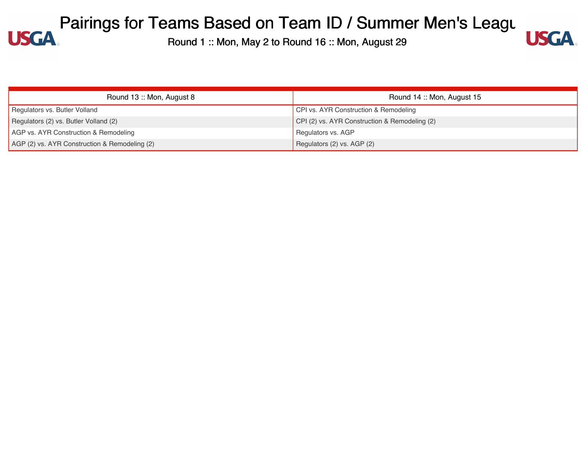

| Round 13: Mon, August 8                       | Round 14: Mon, August 15                      |
|-----------------------------------------------|-----------------------------------------------|
| Regulators vs. Butler Volland                 | CPI vs. AYR Construction & Remodeling         |
| Regulators (2) vs. Butler Volland (2)         | CPI (2) vs. AYR Construction & Remodeling (2) |
| AGP vs. AYR Construction & Remodeling         | Regulators vs. AGP                            |
| AGP (2) vs. AYR Construction & Remodeling (2) | Regulators (2) vs. AGP (2)                    |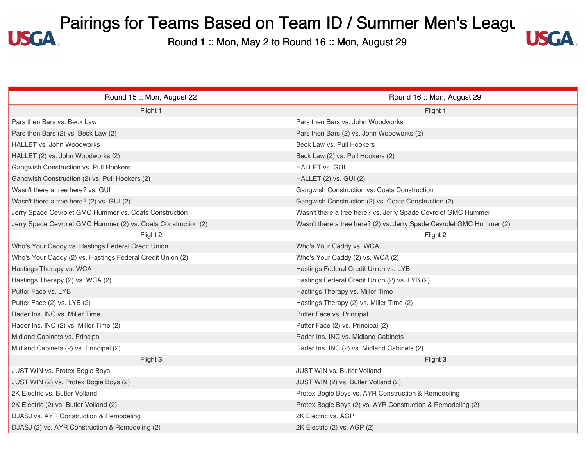

| Round 15: Mon, August 22                                       | Round 16: Mon, August 29                                              |
|----------------------------------------------------------------|-----------------------------------------------------------------------|
| Flight 1                                                       | Flight 1                                                              |
| Pars then Bars vs. Beck Law                                    | Pars then Bars vs. John Woodworks                                     |
| Pars then Bars (2) vs. Beck Law (2)                            | Pars then Bars (2) vs. John Woodworks (2)                             |
| <b>HALLET vs. John Woodworks</b>                               | Beck Law vs. Pull Hookers                                             |
| HALLET (2) vs. John Woodworks (2)                              | Beck Law (2) vs. Pull Hookers (2)                                     |
| Gangwish Construction vs. Pull Hookers                         | <b>HALLET vs. GUI</b>                                                 |
| Gangwish Construction (2) vs. Pull Hookers (2)                 | HALLET (2) vs. GUI (2)                                                |
| Wasn't there a tree here? vs. GUI                              | Gangwish Construction vs. Coats Construction                          |
| Wasn't there a tree here? (2) vs. GUI (2)                      | Gangwish Construction (2) vs. Coats Construction (2)                  |
| Jerry Spade Cevrolet GMC Hummer vs. Coats Construction         | Wasn't there a tree here? vs. Jerry Spade Cevrolet GMC Hummer         |
| Jerry Spade Cevrolet GMC Hummer (2) vs. Coats Construction (2) | Wasn't there a tree here? (2) vs. Jerry Spade Cevrolet GMC Hummer (2) |
| Flight 2                                                       | Flight 2                                                              |
| Who's Your Caddy vs. Hastings Federal Credit Union             | Who's Your Caddy vs. WCA                                              |
| Who's Your Caddy (2) vs. Hastings Federal Credit Union (2)     | Who's Your Caddy (2) vs. WCA (2)                                      |
| Hastings Therapy vs. WCA                                       | Hastings Federal Credit Union vs. LYB                                 |
| Hastings Therapy (2) vs. WCA (2)                               | Hastings Federal Credit Union (2) vs. LYB (2)                         |
| Putter Face vs. LYB                                            | Hastings Therapy vs. Miller Time                                      |
| Putter Face (2) vs. LYB (2)                                    | Hastings Therapy (2) vs. Miller Time (2)                              |
| Rader Ins. INC vs. Miller Time                                 | Putter Face vs. Principal                                             |
| Rader Ins. INC (2) vs. Miller Time (2)                         | Putter Face (2) vs. Principal (2)                                     |
| Midland Cabinets vs. Principal                                 | Rader Ins. INC vs. Midland Cabinets                                   |
| Midland Cabinets (2) vs. Principal (2)                         | Rader Ins. INC (2) vs. Midland Cabinets (2)                           |
| Flight 3                                                       | Flight 3                                                              |
| JUST WIN vs. Protex Bogie Boys                                 | JUST WIN vs. Butler Volland                                           |
| JUST WIN (2) vs. Protex Bogie Boys (2)                         | JUST WIN (2) vs. Butler Volland (2)                                   |
| 2K Electric vs. Butler Volland                                 | Protex Bogie Boys vs. AYR Construction & Remodeling                   |
| 2K Electric (2) vs. Butler Volland (2)                         | Protex Bogie Boys (2) vs. AYR Construction & Remodeling (2)           |
| DJASJ vs. AYR Construction & Remodeling                        | 2K Electric vs. AGP                                                   |
| DJASJ (2) vs. AYR Construction & Remodeling (2)                | 2K Electric (2) vs. AGP (2)                                           |